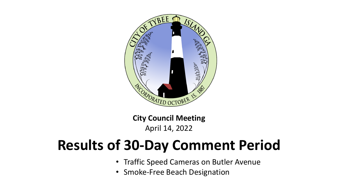

**City Council Meeting** April 14, 2022

## **Results of 30-Day Comment Period**

- Traffic Speed Cameras on Butler Avenue
- Smoke-Free Beach Designation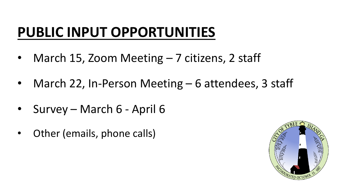## **PUBLIC INPUT OPPORTUNITIES**

- March 15, Zoom Meeting 7 citizens, 2 staff
- March 22, In-Person Meeting 6 attendees, 3 staff
- Survey March 6 April 6
- Other (emails, phone calls)

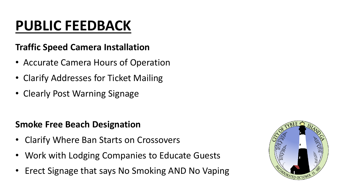# **PUBLIC FEEDBACK**

#### **Traffic Speed Camera Installation**

- Accurate Camera Hours of Operation
- Clarify Addresses for Ticket Mailing
- Clearly Post Warning Signage

#### **Smoke Free Beach Designation**

- Clarify Where Ban Starts on Crossovers
- Work with Lodging Companies to Educate Guests
- Erect Signage that says No Smoking AND No Vaping

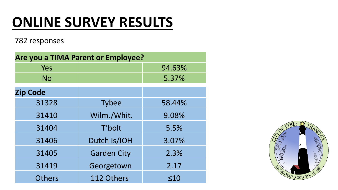## **ONLINE SURVEY RESULTS**

782 responses

| Are you a TIMA Parent or Employee? |                    |           |
|------------------------------------|--------------------|-----------|
| Yes                                |                    | 94.63%    |
| <b>No</b>                          |                    | 5.37%     |
| <b>Zip Code</b>                    |                    |           |
| 31328                              | <b>Tybee</b>       | 58.44%    |
| 31410                              | Wilm./Whit.        | 9.08%     |
| 31404                              | T'bolt             | 5.5%      |
| 31406                              | Dutch Is/IOH       | 3.07%     |
| 31405                              | <b>Garden City</b> | 2.3%      |
| 31419                              | Georgetown         | 2.17      |
| <b>Others</b>                      | 112 Others         | $\leq 10$ |

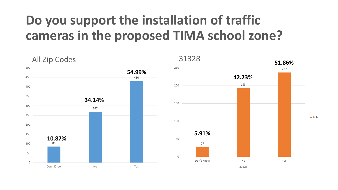### **Do you support the installation of traffic cameras in the proposed TIMA school zone?**



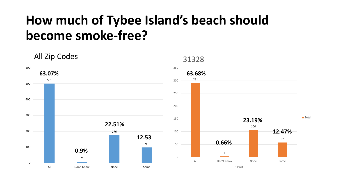### **How much of Tybee Island's beach should become smoke-free?**